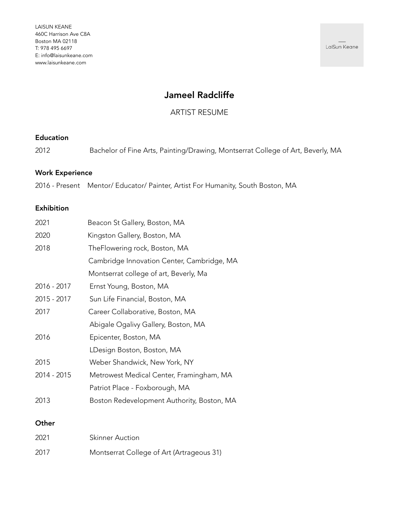LaiSun Keane

# Jameel Radcliffe

ARTIST RESUME

### Education

2012 Bachelor of Fine Arts, Painting/Drawing, Montserrat College of Art, Beverly, MA

## Work Experience

2016 - Present Mentor/ Educator/ Painter, Artist For Humanity, South Boston, MA

### Exhibition

| Beacon St Gallery, Boston, MA              |
|--------------------------------------------|
| Kingston Gallery, Boston, MA               |
| TheFlowering rock, Boston, MA              |
| Cambridge Innovation Center, Cambridge, MA |
| Montserrat college of art, Beverly, Ma     |
| Ernst Young, Boston, MA                    |
| Sun Life Financial, Boston, MA             |
| Career Collaborative, Boston, MA           |
| Abigale Ogalivy Gallery, Boston, MA        |
| Epicenter, Boston, MA                      |
| LDesign Boston, Boston, MA                 |
| Weber Shandwick, New York, NY              |
| Metrowest Medical Center, Framingham, MA   |
| Patriot Place - Foxborough, MA             |
| Boston Redevelopment Authority, Boston, MA |
|                                            |

## **Other**

| 2021 | <b>Skinner Auction</b>                    |
|------|-------------------------------------------|
| 2017 | Montserrat College of Art (Artrageous 31) |